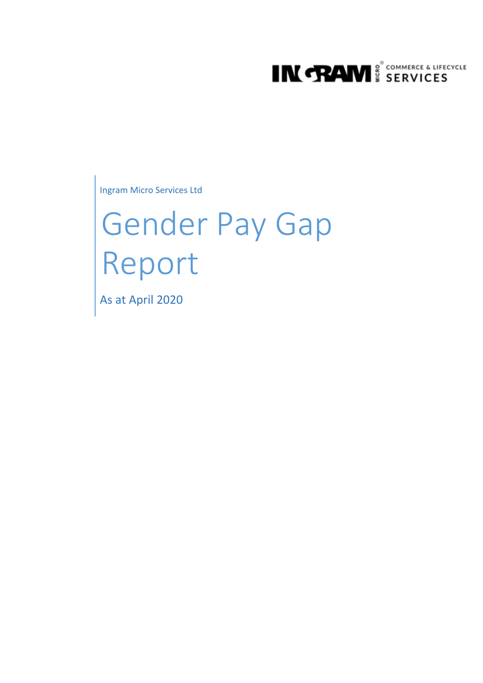

Ingram Micro Services Ltd

# Gender Pay Gap Report

As at April 2020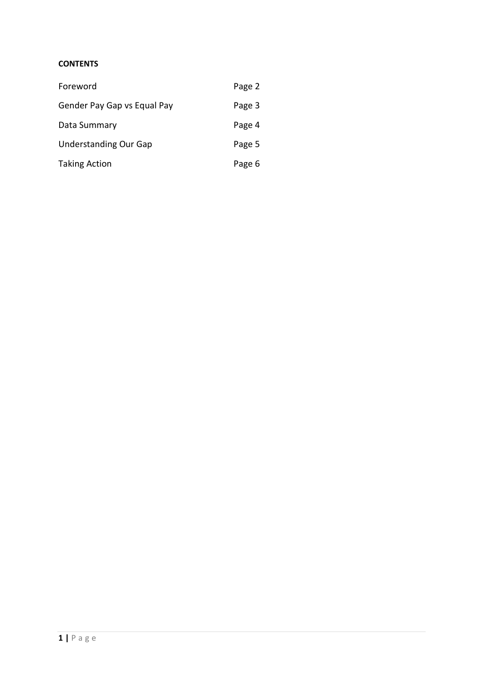# **CONTENTS**

| Foreword                     | Page 2 |
|------------------------------|--------|
| Gender Pay Gap vs Equal Pay  | Page 3 |
| Data Summary                 | Page 4 |
| <b>Understanding Our Gap</b> | Page 5 |
| <b>Taking Action</b>         | Page 6 |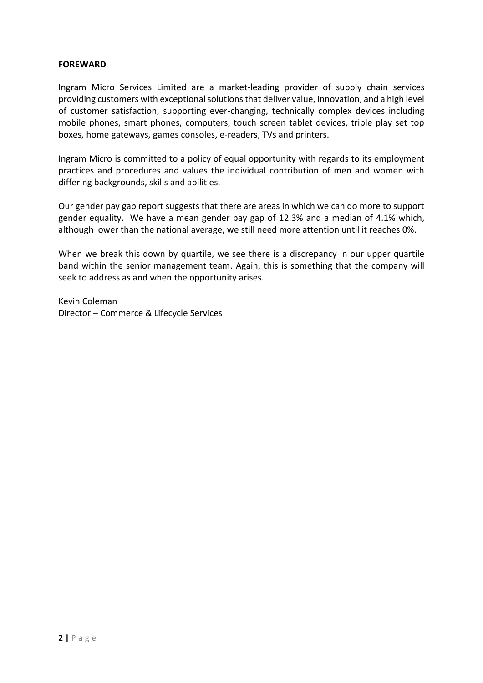#### **FOREWARD**

Ingram Micro Services Limited are a market-leading provider of supply chain services providing customers with exceptional solutions that deliver value, innovation, and a high level of customer satisfaction, supporting ever-changing, technically complex devices including mobile phones, smart phones, computers, touch screen tablet devices, triple play set top boxes, home gateways, games consoles, e-readers, TVs and printers.

Ingram Micro is committed to a policy of equal opportunity with regards to its employment practices and procedures and values the individual contribution of men and women with differing backgrounds, skills and abilities.

Our gender pay gap report suggests that there are areas in which we can do more to support gender equality. We have a mean gender pay gap of 12.3% and a median of 4.1% which, although lower than the national average, we still need more attention until it reaches 0%.

When we break this down by quartile, we see there is a discrepancy in our upper quartile band within the senior management team. Again, this is something that the company will seek to address as and when the opportunity arises.

Kevin Coleman Director – Commerce & Lifecycle Services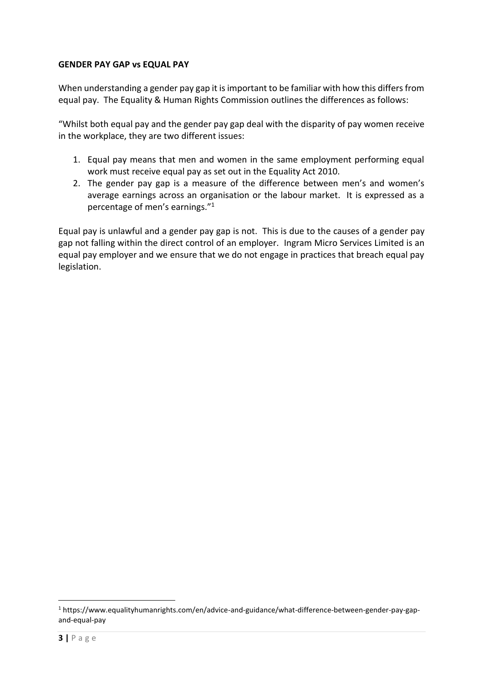## **GENDER PAY GAP vs EQUAL PAY**

When understanding a gender pay gap it is important to be familiar with how this differs from equal pay. The Equality & Human Rights Commission outlines the differences as follows:

"Whilst both equal pay and the gender pay gap deal with the disparity of pay women receive in the workplace, they are two different issues:

- 1. Equal pay means that men and women in the same employment performing equal work must receive equal pay as set out in the Equality Act 2010.
- 2. The gender pay gap is a measure of the difference between men's and women's average earnings across an organisation or the labour market. It is expressed as a percentage of men's earnings."<sup>1</sup>

Equal pay is unlawful and a gender pay gap is not. This is due to the causes of a gender pay gap not falling within the direct control of an employer. Ingram Micro Services Limited is an equal pay employer and we ensure that we do not engage in practices that breach equal pay legislation.

<sup>1</sup> https://www.equalityhumanrights.com/en/advice-and-guidance/what-difference-between-gender-pay-gapand-equal-pay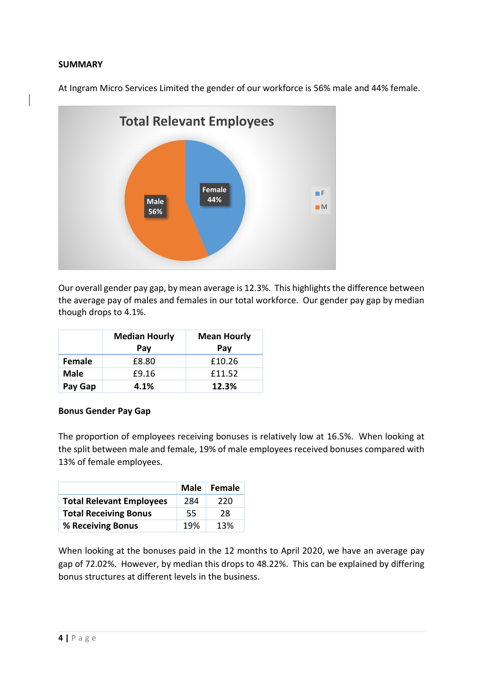#### **SUMMARY**

At Ingram Micro Services Limited the gender of our workforce is 56% male and 44% female.



Our overall gender pay gap, by mean average is 12.3%. This highlights the difference between the average pay of males and females in our total workforce. Our gender pay gap by median though drops to 4.1%.

|             | <b>Median Hourly</b><br>Pay | <b>Mean Hourly</b><br>Pay |
|-------------|-----------------------------|---------------------------|
| Female      | £8.80                       | £10.26                    |
| <b>Male</b> | £9.16                       | £11.52                    |
| Pay Gap     | 4.1%                        | 12.3%                     |

#### **Bonus Gender Pay Gap**

The proportion of employees receiving bonuses is relatively low at 16.5%. When looking at the split between male and female, 19% of male employees received bonuses compared with 13% of female employees.

|                                 |     | Male Female |
|---------------------------------|-----|-------------|
| <b>Total Relevant Employees</b> | 284 | 220         |
| <b>Total Receiving Bonus</b>    | 55  | 28          |
| % Receiving Bonus               | 19% | 13%         |

When looking at the bonuses paid in the 12 months to April 2020, we have an average pay gap of 72.02%. However, by median this drops to 48.22%. This can be explained by differing bonus structures at different levels in the business.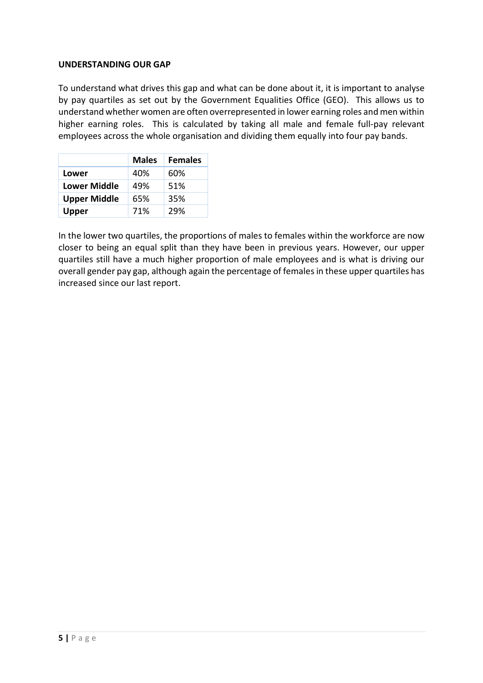#### **UNDERSTANDING OUR GAP**

To understand what drives this gap and what can be done about it, it is important to analyse by pay quartiles as set out by the Government Equalities Office (GEO). This allows us to understand whether women are often overrepresented in lower earning roles and men within higher earning roles. This is calculated by taking all male and female full-pay relevant employees across the whole organisation and dividing them equally into four pay bands.

|                     | <b>Males</b> | <b>Females</b> |
|---------------------|--------------|----------------|
| <b>Lower</b>        | 40%          | 60%            |
| Lower Middle        | 49%          | 51%            |
| <b>Upper Middle</b> | 65%          | 35%            |
| Upper               | 71%          | 29%            |

In the lower two quartiles, the proportions of males to females within the workforce are now closer to being an equal split than they have been in previous years. However, our upper quartiles still have a much higher proportion of male employees and is what is driving our overall gender pay gap, although again the percentage of females in these upper quartiles has increased since our last report.